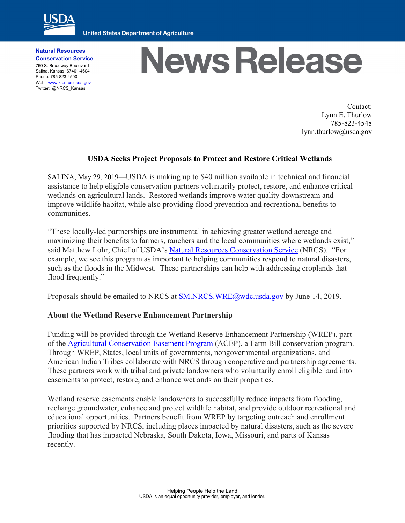

**United States Department of Agriculture** 

**Natural Resources Conservation Service** 760 S. Broadway Boulevard Salina, Kansas, 67401-4604 Phone: 785-823-4500 Web: www.ks.nrcs.usda.gov Twitter: @NRCS\_Kansas

## **News Release**

Contact: Lynn E. Thurlow 785-823-4548 lynn.thurlow@usda.gov

## **USDA Seeks Project Proposals to Protect and Restore Critical Wetlands**

SALINA, May 29, 2019—USDA is making up to \$40 million available in technical and financial assistance to help eligible conservation partners voluntarily protect, restore, and enhance critical wetlands on agricultural lands. Restored wetlands improve water quality downstream and improve wildlife habitat, while also providing flood prevention and recreational benefits to communities.

"These locally-led partnerships are instrumental in achieving greater wetland acreage and maximizing their benefits to farmers, ranchers and the local communities where wetlands exist," said Matthew Lohr, Chief of USDA's Natural Resources Conservation Service (NRCS). "For example, we see this program as important to helping communities respond to natural disasters, such as the floods in the Midwest. These partnerships can help with addressing croplands that flood frequently."

Proposals should be emailed to NRCS at SM.NRCS.WRE@wdc.usda.gov by June 14, 2019.

## **About the Wetland Reserve Enhancement Partnership**

Funding will be provided through the Wetland Reserve Enhancement Partnership (WREP), part of the Agricultural Conservation Easement Program (ACEP), a Farm Bill conservation program. Through WREP, States, local units of governments, nongovernmental organizations, and American Indian Tribes collaborate with NRCS through cooperative and partnership agreements. These partners work with tribal and private landowners who voluntarily enroll eligible land into easements to protect, restore, and enhance wetlands on their properties.

Wetland reserve easements enable landowners to successfully reduce impacts from flooding, recharge groundwater, enhance and protect wildlife habitat, and provide outdoor recreational and educational opportunities. Partners benefit from WREP by targeting outreach and enrollment priorities supported by NRCS, including places impacted by natural disasters, such as the severe flooding that has impacted Nebraska, South Dakota, Iowa, Missouri, and parts of Kansas recently.